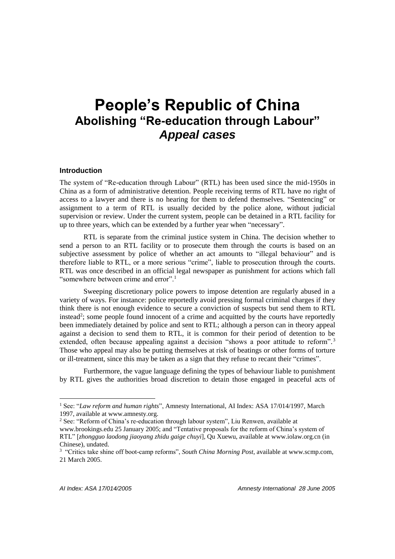# **People's Republic of China Abolishing "Re-education through Labour"**  *Appeal cases*

#### **Introduction**

The system of "Re-education through Labour" (RTL) has been used since the mid-1950s in China as a form of administrative detention. People receiving terms of RTL have no right of access to a lawyer and there is no hearing for them to defend themselves. "Sentencing" or assignment to a term of RTL is usually decided by the police alone, without judicial supervision or review. Under the current system, people can be detained in a RTL facility for up to three years, which can be extended by a further year when "necessary".

RTL is separate from the criminal justice system in China. The decision whether to send a person to an RTL facility or to prosecute them through the courts is based on an subjective assessment by police of whether an act amounts to "illegal behaviour" and is therefore liable to RTL, or a more serious "crime", liable to prosecution through the courts. RTL was once described in an official legal newspaper as punishment for actions which fall "somewhere between crime and error".<sup>1</sup>

Sweeping discretionary police powers to impose detention are regularly abused in a variety of ways. For instance: police reportedly avoid pressing formal criminal charges if they think there is not enough evidence to secure a conviction of suspects but send them to RTL instead<sup>2</sup>; some people found innocent of a crime and acquitted by the courts have reportedly been immediately detained by police and sent to RTL; although a person can in theory appeal against a decision to send them to RTL, it is common for their period of detention to be extended, often because appealing against a decision "shows a poor attitude to reform".<sup>3</sup> Those who appeal may also be putting themselves at risk of beatings or other forms of torture or ill-treatment, since this may be taken as a sign that they refuse to recant their "crimes".

Furthermore, the vague language defining the types of behaviour liable to punishment by RTL gives the authorities broad discretion to detain those engaged in peaceful acts of

 $\overline{a}$ 

<sup>1</sup> See: "*Law reform and human rights*", Amnesty International, AI Index: ASA 17/014/1997, March 1997, available at [www.amnesty.org.](http://www.amnesty.org/) 

<sup>2</sup> See: "Reform of China's re-education through labour system", Liu Renwen, available at

[www.brookings.edu](http://www.brookings.edu/) 25 January 2005; and "Tentative proposals for the reform of China's system of RTL" [*zhongguo laodong jiaoyang zhidu gaige chuyi*], Qu Xuewu, available at [www.iolaw.org.cn](http://www.iolaw.org.cn/) (in Chinese), undated.

<sup>&</sup>lt;sup>3</sup> "Critics take shine off boot-camp reforms", *South China Morning Post*, available at [www.scmp.com,](http://www.scmp.com/) 21 March 2005.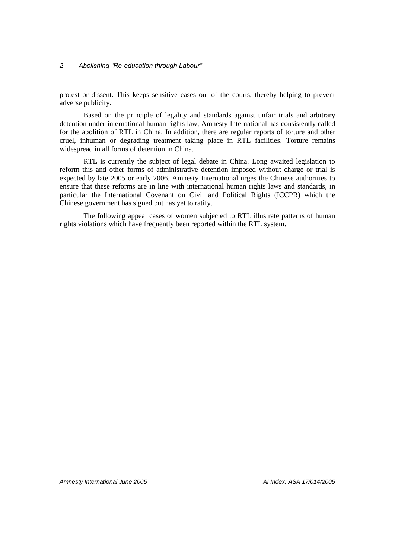#### *2 Abolishing "Re-education through Labour"*

protest or dissent. This keeps sensitive cases out of the courts, thereby helping to prevent adverse publicity.

Based on the principle of legality and standards against unfair trials and arbitrary detention under international human rights law, Amnesty International has consistently called for the abolition of RTL in China. In addition, there are regular reports of torture and other cruel, inhuman or degrading treatment taking place in RTL facilities. Torture remains widespread in all forms of detention in China.

RTL is currently the subject of legal debate in China. Long awaited legislation to reform this and other forms of administrative detention imposed without charge or trial is expected by late 2005 or early 2006. Amnesty International urges the Chinese authorities to ensure that these reforms are in line with international human rights laws and standards, in particular the International Covenant on Civil and Political Rights (ICCPR) which the Chinese government has signed but has yet to ratify.

The following appeal cases of women subjected to RTL illustrate patterns of human rights violations which have frequently been reported within the RTL system.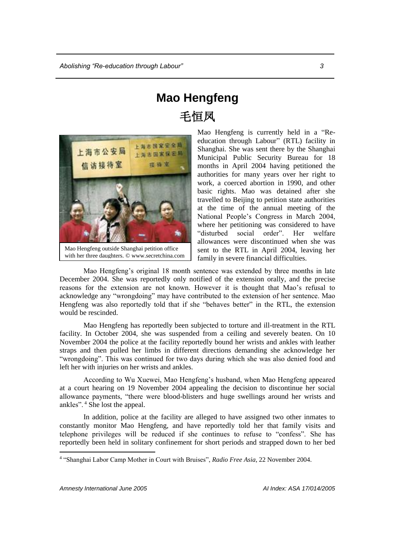# **Mao Hengfeng** 毛恒凤



Mao Hengfeng outside Shanghai petition office with her three daughters. © www.secretchina.com

Mao Hengfeng is currently held in a "Reeducation through Labour" (RTL) facility in Shanghai. She was sent there by the Shanghai Municipal Public Security Bureau for 18 months in April 2004 having petitioned the authorities for many years over her right to work, a coerced abortion in 1990, and other basic rights. Mao was detained after she travelled to Beijing to petition state authorities at the time of the annual meeting of the National People's Congress in March 2004, where her petitioning was considered to have "disturbed social order". Her welfare allowances were discontinued when she was sent to the RTL in April 2004, leaving her family in severe financial difficulties.

Mao Hengfeng's original 18 month sentence was extended by three months in late December 2004. She was reportedly only notified of the extension orally, and the precise reasons for the extension are not known. However it is thought that Mao's refusal to acknowledge any "wrongdoing" may have contributed to the extension of her sentence. Mao Hengfeng was also reportedly told that if she "behaves better" in the RTL, the extension would be rescinded.

Mao Hengfeng has reportedly been subjected to torture and ill-treatment in the RTL facility. In October 2004, she was suspended from a ceiling and severely beaten. On 10 November 2004 the police at the facility reportedly bound her wrists and ankles with leather straps and then pulled her limbs in different directions demanding she acknowledge her "wrongdoing". This was continued for two days during which she was also denied food and left her with injuries on her wrists and ankles.

According to Wu Xuewei, Mao Hengfeng's husband, when Mao Hengfeng appeared at a court hearing on 19 November 2004 appealing the decision to discontinue her social allowance payments, "there were blood-blisters and huge swellings around her wrists and ankles". <sup>4</sup> She lost the appeal.

In addition, police at the facility are alleged to have assigned two other inmates to constantly monitor Mao Hengfeng, and have reportedly told her that family visits and telephone privileges will be reduced if she continues to refuse to "confess". She has reportedly been held in solitary confinement for short periods and strapped down to her bed

 $\overline{a}$ 

<sup>4</sup> "Shanghai Labor Camp Mother in Court with Bruises", *Radio Free Asia*, 22 November 2004.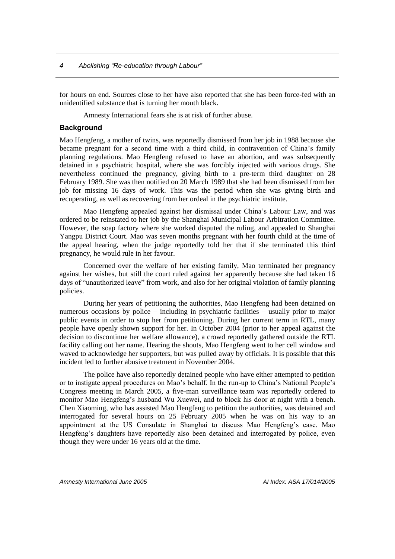for hours on end. Sources close to her have also reported that she has been force-fed with an unidentified substance that is turning her mouth black.

Amnesty International fears she is at risk of further abuse.

### **Background**

Mao Hengfeng, a mother of twins, was reportedly dismissed from her job in 1988 because she became pregnant for a second time with a third child, in contravention of China's family planning regulations. Mao Hengfeng refused to have an abortion, and was subsequently detained in a psychiatric hospital, where she was forcibly injected with various drugs. She nevertheless continued the pregnancy, giving birth to a pre-term third daughter on 28 February 1989. She was then notified on 20 March 1989 that she had been dismissed from her job for missing 16 days of work. This was the period when she was giving birth and recuperating, as well as recovering from her ordeal in the psychiatric institute.

Mao Hengfeng appealed against her dismissal under China's Labour Law, and was ordered to be reinstated to her job by the Shanghai Municipal Labour Arbitration Committee. However, the soap factory where she worked disputed the ruling, and appealed to Shanghai Yangpu District Court. Mao was seven months pregnant with her fourth child at the time of the appeal hearing, when the judge reportedly told her that if she terminated this third pregnancy, he would rule in her favour.

Concerned over the welfare of her existing family, Mao terminated her pregnancy against her wishes, but still the court ruled against her apparently because she had taken 16 days of "unauthorized leave" from work, and also for her original violation of family planning policies.

During her years of petitioning the authorities, Mao Hengfeng had been detained on numerous occasions by police – including in psychiatric facilities – usually prior to major public events in order to stop her from petitioning. During her current term in RTL, many people have openly shown support for her. In October 2004 (prior to her appeal against the decision to discontinue her welfare allowance), a crowd reportedly gathered outside the RTL facility calling out her name. Hearing the shouts, Mao Hengfeng went to her cell window and waved to acknowledge her supporters, but was pulled away by officials. It is possible that this incident led to further abusive treatment in November 2004.

The police have also reportedly detained people who have either attempted to petition or to instigate appeal procedures on Mao's behalf. In the run-up to China's National People's Congress meeting in March 2005, a five-man surveillance team was reportedly ordered to monitor Mao Hengfeng's husband Wu Xuewei, and to block his door at night with a bench. Chen Xiaoming, who has assisted Mao Hengfeng to petition the authorities, was detained and interrogated for several hours on 25 February 2005 when he was on his way to an appointment at the US Consulate in Shanghai to discuss Mao Hengfeng's case. Mao Hengfeng's daughters have reportedly also been detained and interrogated by police, even though they were under 16 years old at the time.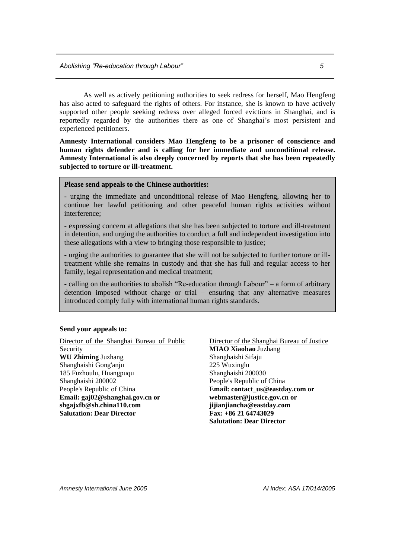As well as actively petitioning authorities to seek redress for herself, Mao Hengfeng has also acted to safeguard the rights of others. For instance, she is known to have actively supported other people seeking redress over alleged forced evictions in Shanghai, and is reportedly regarded by the authorities there as one of Shanghai's most persistent and experienced petitioners.

**Amnesty International considers Mao Hengfeng to be a prisoner of conscience and human rights defender and is calling for her immediate and unconditional release. Amnesty International is also deeply concerned by reports that she has been repeatedly subjected to torture or ill-treatment.** 

#### **Please send appeals to the Chinese authorities:**

- urging the immediate and unconditional release of Mao Hengfeng, allowing her to continue her lawful petitioning and other peaceful human rights activities without interference;

- expressing concern at allegations that she has been subjected to torture and ill-treatment in detention, and urging the authorities to conduct a full and independent investigation into these allegations with a view to bringing those responsible to justice;

- urging the authorities to guarantee that she will not be subjected to further torture or illtreatment while she remains in custody and that she has full and regular access to her family, legal representation and medical treatment;

- calling on the authorities to abolish "Re-education through Labour" – a form of arbitrary detention imposed without charge or trial – ensuring that any alternative measures introduced comply fully with international human rights standards.

#### **Send your appeals to:**

Director of the Shanghai Bureau of Public Security **WU Zhiming** Juzhang Shanghaishi Gong'anju 185 Fuzhoulu, Huangpuqu Shanghaishi 200002 People's Republic of China **Email: [gaj02@shanghai.gov.cn](mailto:gaj02@shanghai.gov.cn) or [shgajxfb@sh.china110.com](mailto:shgajxfb@sh.china110.com) Salutation: Dear Director**

Director of the Shanghai Bureau of Justice **MIAO Xiaobao** Juzhang Shanghaishi Sifaju 225 Wuxinglu Shanghaishi 200030 People's Republic of China **Email: [contact\\_us@eastday.com](mailto:contact_us@eastday.com) or [webmaster@justice.gov.cn](mailto:webmaster@justice.gov.cn) or [jijianjiancha@eastday.com](mailto:jijianjiancha@eastday.com) Fax: +86 21 64743029 Salutation: Dear Director**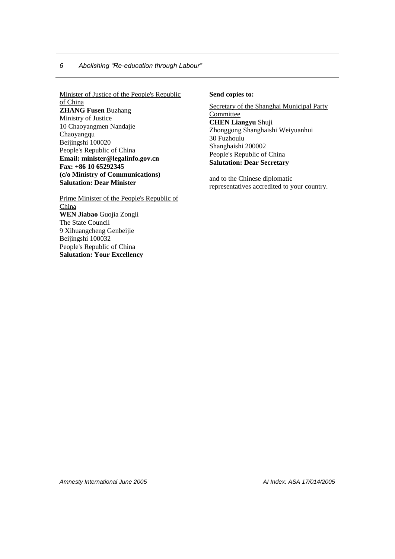## *6 Abolishing "Re-education through Labour"*

Minister of Justice of the People's Republic of China **ZHANG Fusen** Buzhang Ministry of Justice 10 Chaoyangmen Nandajie Chaoyangqu Beijingshi 100020 People's Republic of China **Email: minister@legalinfo.gov.cn Fax: +86 10 65292345 (c/o Ministry of Communications) Salutation: Dear Minister**

Prime Minister of the People's Republic of China **WEN Jiabao** Guojia Zongli The State Council 9 Xihuangcheng Genbeijie Beijingshi 100032 People's Republic of China **Salutation: Your Excellency**

#### **Send copies to:**

Secretary of the Shanghai Municipal Party **Committee CHEN Liangyu** Shuji Zhonggong Shanghaishi Weiyuanhui 30 Fuzhoulu Shanghaishi 200002 People's Republic of China **Salutation: Dear Secretary**

and to the Chinese diplomatic representatives accredited to your country.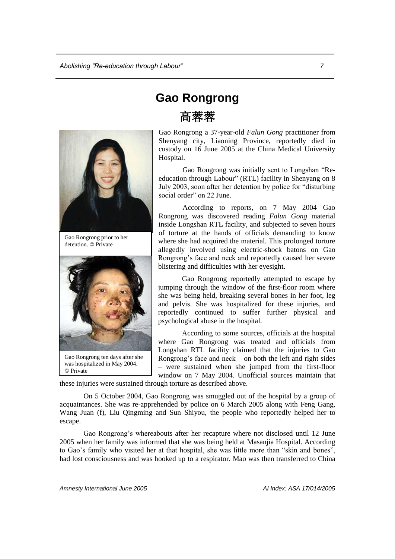

Gao Rongrong prior to her detention. © Private



Gao Rongrong ten days after she was hospitalized in May 2004. © Private

# **Gao Rongrong** 高蓉蓉

Gao Rongrong a 37-year-old *Falun Gong* practitioner from Shenyang city, Liaoning Province, reportedly died in custody on 16 June 2005 at the China Medical University Hospital.

Gao Rongrong was initially sent to Longshan "Reeducation through Labour" (RTL) facility in Shenyang on 8 July 2003, soon after her detention by police for "disturbing social order" on 22 June.

According to reports, on 7 May 2004 Gao Rongrong was discovered reading *Falun Gong* material inside Longshan RTL facility, and subjected to seven hours of torture at the hands of officials demanding to know where she had acquired the material. This prolonged torture allegedly involved using electric-shock batons on Gao Rongrong's face and neck and reportedly caused her severe blistering and difficulties with her eyesight.

Gao Rongrong reportedly attempted to escape by jumping through the window of the first-floor room where she was being held, breaking several bones in her foot, leg and pelvis. She was hospitalized for these injuries, and reportedly continued to suffer further physical and psychological abuse in the hospital.

According to some sources, officials at the hospital where Gao Rongrong was treated and officials from Longshan RTL facility claimed that the injuries to Gao Rongrong's face and neck – on both the left and right sides – were sustained when she jumped from the first-floor window on 7 May 2004. Unofficial sources maintain that

these injuries were sustained through torture as described above.

On 5 October 2004, Gao Rongrong was smuggled out of the hospital by a group of acquaintances. She was re-apprehended by police on 6 March 2005 along with Feng Gang, Wang Juan (f), Liu Qingming and Sun Shiyou, the people who reportedly helped her to escape.

Gao Rongrong's whereabouts after her recapture where not disclosed until 12 June 2005 when her family was informed that she was being held at Masanjia Hospital. According to Gao's family who visited her at that hospital, she was little more than "skin and bones", had lost consciousness and was hooked up to a respirator. Mao was then transferred to China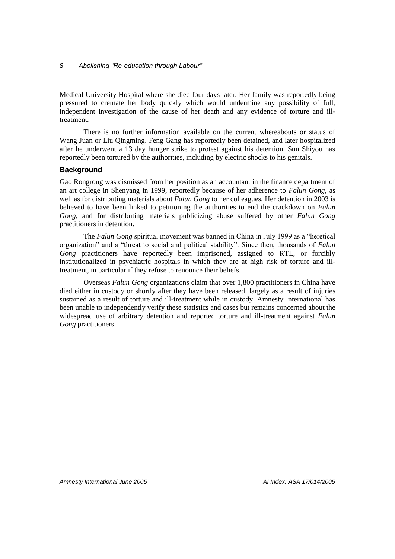Medical University Hospital where she died four days later. Her family was reportedly being pressured to cremate her body quickly which would undermine any possibility of full, independent investigation of the cause of her death and any evidence of torture and illtreatment.

There is no further information available on the current whereabouts or status of Wang Juan or Liu Qingming. Feng Gang has reportedly been detained, and later hospitalized after he underwent a 13 day hunger strike to protest against his detention. Sun Shiyou has reportedly been tortured by the authorities, including by electric shocks to his genitals.

# **Background**

Gao Rongrong was dismissed from her position as an accountant in the finance department of an art college in Shenyang in 1999, reportedly because of her adherence to *Falun Gong*, as well as for distributing materials about *Falun Gong* to her colleagues. Her detention in 2003 is believed to have been linked to petitioning the authorities to end the crackdown on *Falun Gong*, and for distributing materials publicizing abuse suffered by other *Falun Gong* practitioners in detention.

The *Falun Gong* spiritual movement was banned in China in July 1999 as a "heretical organization" and a "threat to social and political stability". Since then, thousands of *Falun Gong* practitioners have reportedly been imprisoned, assigned to RTL, or forcibly institutionalized in psychiatric hospitals in which they are at high risk of torture and illtreatment, in particular if they refuse to renounce their beliefs.

Overseas *Falun Gong* organizations claim that over 1,800 practitioners in China have died either in custody or shortly after they have been released, largely as a result of injuries sustained as a result of torture and ill-treatment while in custody. Amnesty International has been unable to independently verify these statistics and cases but remains concerned about the widespread use of arbitrary detention and reported torture and ill-treatment against *Falun Gong* practitioners.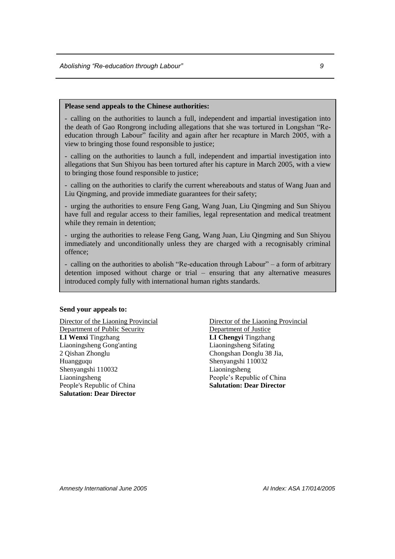#### **Please send appeals to the Chinese authorities:**

- calling on the authorities to launch a full, independent and impartial investigation into the death of Gao Rongrong including allegations that she was tortured in Longshan "Reeducation through Labour" facility and again after her recapture in March 2005, with a view to bringing those found responsible to justice;

- calling on the authorities to launch a full, independent and impartial investigation into allegations that Sun Shiyou has been tortured after his capture in March 2005, with a view to bringing those found responsible to justice;

- calling on the authorities to clarify the current whereabouts and status of Wang Juan and Liu Qingming, and provide immediate guarantees for their safety;

- urging the authorities to ensure Feng Gang, Wang Juan, Liu Qingming and Sun Shiyou have full and regular access to their families, legal representation and medical treatment while they remain in detention:

- urging the authorities to release Feng Gang, Wang Juan, Liu Qingming and Sun Shiyou immediately and unconditionally unless they are charged with a recognisably criminal offence;

- calling on the authorities to abolish "Re-education through Labour" – a form of arbitrary detention imposed without charge or trial – ensuring that any alternative measures introduced comply fully with international human rights standards.

#### **Send your appeals to:**

Director of the Liaoning Provincial Department of Public Security **LI Wenxi** Tingzhang Liaoningsheng Gong'anting 2 Qishan Zhonglu Huangguqu Shenyangshi 110032 Liaoningsheng People's Republic of China **Salutation: Dear Director**

Director of the Liaoning Provincial Department of Justice **LI Chengyi** Tingzhang Liaoningsheng Sifating Chongshan Donglu 38 Jia, Shenyangshi 110032 Liaoningsheng People's Republic of China **Salutation: Dear Director**